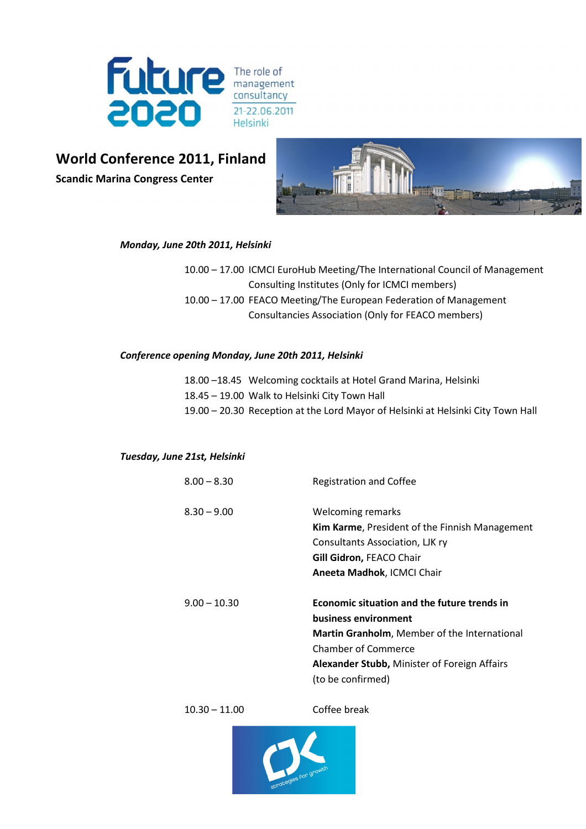

# World Conference 2011, Finland

Scandic Marina Congress Center



#### Monday, June 20th 2011, Helsinki

10.00 – 17.00 ICMCI EuroHub Meeting/The International Council of Management Consulting Institutes (Only for ICMCI members) 10.00 – 17.00 FEACO Meeting/The European Federation of Management Consultancies Association (Only for FEACO members)

#### Conference opening Monday, June 20th 2011, Helsinki

| 18.00 -18.45 Welcoming cocktails at Hotel Grand Marina, Helsinki                 |
|----------------------------------------------------------------------------------|
| 18.45 – 19.00 Walk to Helsinki City Town Hall                                    |
| 19.00 - 20.30 Reception at the Lord Mayor of Helsinki at Helsinki City Town Hall |

#### Tuesday, June 21st, Helsinki

| $8.00 - 8.30$  | <b>Registration and Coffee</b>                      |  |
|----------------|-----------------------------------------------------|--|
| $8.30 - 9.00$  | Welcoming remarks                                   |  |
|                | Kim Karme, President of the Finnish Management      |  |
|                | Consultants Association, LJK ry                     |  |
|                | Gill Gidron, FEACO Chair                            |  |
|                | Aneeta Madhok, ICMCI Chair                          |  |
| $9.00 - 10.30$ | Economic situation and the future trends in         |  |
|                | business environment                                |  |
|                | <b>Martin Granholm, Member of the International</b> |  |
|                | <b>Chamber of Commerce</b>                          |  |
|                | Alexander Stubb, Minister of Foreign Affairs        |  |
|                | (to be confirmed)                                   |  |

10.30 – 11.00 Coffee break

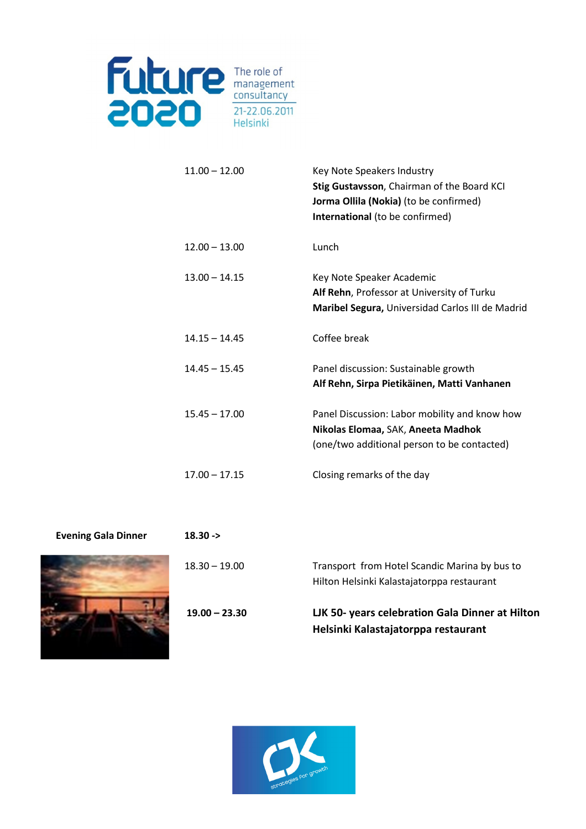

| $11.00 - 12.00$ | Key Note Speakers Industry<br>Stig Gustavsson, Chairman of the Board KCI<br>Jorma Ollila (Nokia) (to be confirmed)<br>International (to be confirmed) |
|-----------------|-------------------------------------------------------------------------------------------------------------------------------------------------------|
| $12.00 - 13.00$ | Lunch                                                                                                                                                 |
| $13.00 - 14.15$ | Key Note Speaker Academic<br>Alf Rehn, Professor at University of Turku<br>Maribel Segura, Universidad Carlos III de Madrid                           |
| $14.15 - 14.45$ | Coffee break                                                                                                                                          |
| $14.45 - 15.45$ | Panel discussion: Sustainable growth<br>Alf Rehn, Sirpa Pietikäinen, Matti Vanhanen                                                                   |
| $15.45 - 17.00$ | Panel Discussion: Labor mobility and know how<br>Nikolas Elomaa, SAK, Aneeta Madhok<br>(one/two additional person to be contacted)                    |
| $17.00 - 17.15$ | Closing remarks of the day                                                                                                                            |



| $18.30 - >$     |                                                                                             |
|-----------------|---------------------------------------------------------------------------------------------|
| $18.30 - 19.00$ | Transport from Hotel Scandic Marina by bus to<br>Hilton Helsinki Kalastajatorppa restaurant |
| $19.00 - 23.30$ | LJK 50- years celebration Gala Dinner at Hilton<br>Helsinki Kalastajatorppa restaurant      |

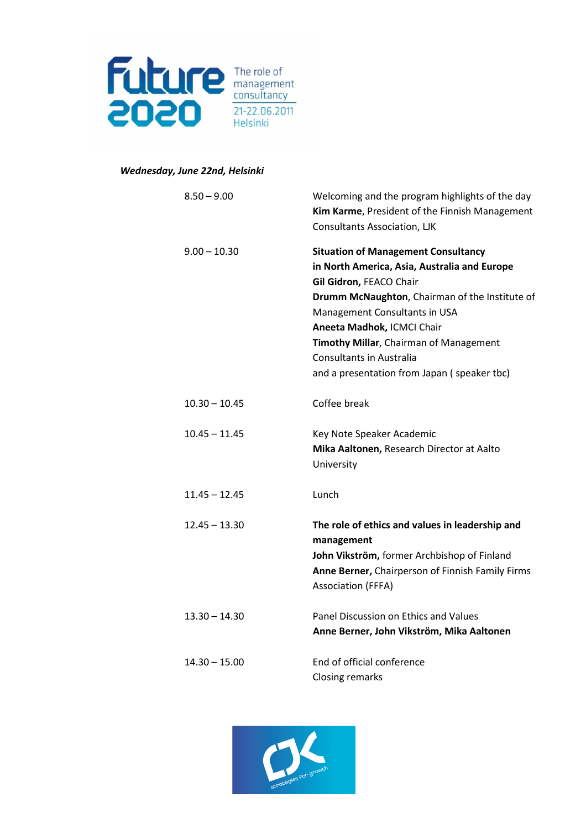

### Wednesday, June 22nd, Helsinki

| $8.50 - 9.00$   | Welcoming and the program highlights of the day<br>Kim Karme, President of the Finnish Management<br><b>Consultants Association, LJK</b>                                                                                                                                                                                                                    |
|-----------------|-------------------------------------------------------------------------------------------------------------------------------------------------------------------------------------------------------------------------------------------------------------------------------------------------------------------------------------------------------------|
| $9.00 - 10.30$  | <b>Situation of Management Consultancy</b><br>in North America, Asia, Australia and Europe<br>Gil Gidron, FEACO Chair<br>Drumm McNaughton, Chairman of the Institute of<br>Management Consultants in USA<br>Aneeta Madhok, ICMCI Chair<br>Timothy Millar, Chairman of Management<br>Consultants in Australia<br>and a presentation from Japan (speaker tbc) |
| $10.30 - 10.45$ | Coffee break                                                                                                                                                                                                                                                                                                                                                |
| $10.45 - 11.45$ | Key Note Speaker Academic<br>Mika Aaltonen, Research Director at Aalto<br>University                                                                                                                                                                                                                                                                        |
| $11.45 - 12.45$ | Lunch                                                                                                                                                                                                                                                                                                                                                       |
| $12.45 - 13.30$ | The role of ethics and values in leadership and<br>management<br>John Vikström, former Archbishop of Finland<br>Anne Berner, Chairperson of Finnish Family Firms<br><b>Association (FFFA)</b>                                                                                                                                                               |
| $13.30 - 14.30$ | Panel Discussion on Ethics and Values<br>Anne Berner, John Vikström, Mika Aaltonen                                                                                                                                                                                                                                                                          |
| $14.30 - 15.00$ | End of official conference<br><b>Closing remarks</b>                                                                                                                                                                                                                                                                                                        |